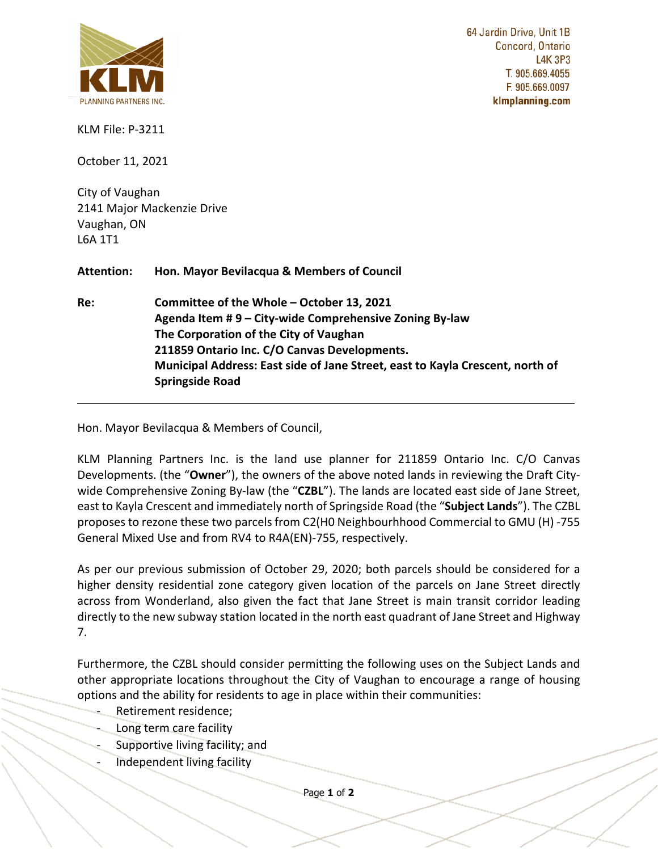

**COMMUNICATION C21 ITEM NO. 9 COMMITTEE OF THE WHOLE (2) October 13, 2021**

64 Jardin Drive, Unit 1B Concord, Ontario **L4K 3P3** T. 905.669.4055 F. 905.669.0097 klmplanning.com

KLM File: P-3211

October 11, 2021

City of Vaughan 2141 Major Mackenzie Drive Vaughan, ON L6A 1T1

**Attention: Hon. Mayor Bevilacqua & Members of Council**

**Re: Committee of the Whole – October 13, 2021 Agenda Item # 9 – City-wide Comprehensive Zoning By-law The Corporation of the City of Vaughan 211859 Ontario Inc. C/O Canvas Developments. Municipal Address: East side of Jane Street, east to Kayla Crescent, north of Springside Road**

Hon. Mayor Bevilacqua & Members of Council,

KLM Planning Partners Inc. is the land use planner for 211859 Ontario Inc. C/O Canvas Developments. (the "**Owner**"), the owners of the above noted lands in reviewing the Draft Citywide Comprehensive Zoning By-law (the "**CZBL**"). The lands are located east side of Jane Street, east to Kayla Crescent and immediately north of Springside Road (the "**Subject Lands**"). The CZBL proposes to rezone these two parcels from C2(H0 Neighbourhhood Commercial to GMU (H) -755 General Mixed Use and from RV4 to R4A(EN)-755, respectively.

As per our previous submission of October 29, 2020; both parcels should be considered for a higher density residential zone category given location of the parcels on Jane Street directly across from Wonderland, also given the fact that Jane Street is main transit corridor leading directly to the new subway station located in the north east quadrant of Jane Street and Highway 7.

Furthermore, the CZBL should consider permitting the following uses on the Subject Lands and other appropriate locations throughout the City of Vaughan to encourage a range of housing options and the ability for residents to age in place within their communities:

- Retirement residence;
- Long term care facility
- Supportive living facility; and
- Independent living facility

Page **1** of **2**